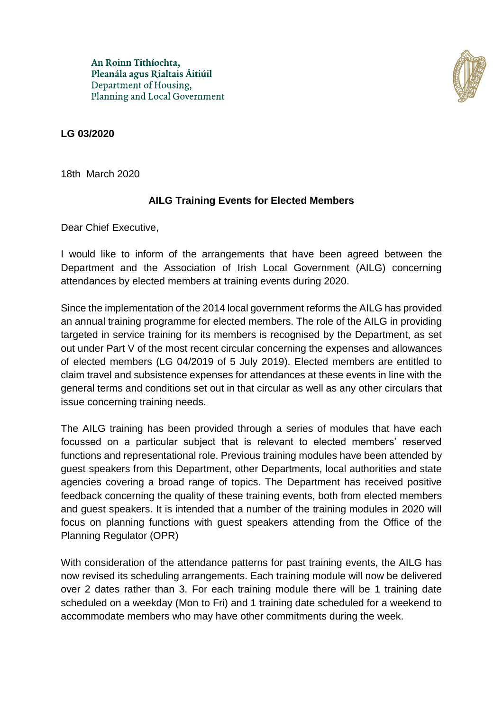An Roinn Tithíochta, Pleanála agus Rialtais Áitiúil Department of Housing, Planning and Local Government



## **LG 03/2020**

18th March 2020

## **AILG Training Events for Elected Members**

Dear Chief Executive,

I would like to inform of the arrangements that have been agreed between the Department and the Association of Irish Local Government (AILG) concerning attendances by elected members at training events during 2020.

Since the implementation of the 2014 local government reforms the AILG has provided an annual training programme for elected members. The role of the AILG in providing targeted in service training for its members is recognised by the Department, as set out under Part V of the most recent circular concerning the expenses and allowances of elected members (LG 04/2019 of 5 July 2019). Elected members are entitled to claim travel and subsistence expenses for attendances at these events in line with the general terms and conditions set out in that circular as well as any other circulars that issue concerning training needs.

The AILG training has been provided through a series of modules that have each focussed on a particular subject that is relevant to elected members' reserved functions and representational role. Previous training modules have been attended by guest speakers from this Department, other Departments, local authorities and state agencies covering a broad range of topics. The Department has received positive feedback concerning the quality of these training events, both from elected members and guest speakers. It is intended that a number of the training modules in 2020 will focus on planning functions with guest speakers attending from the Office of the Planning Regulator (OPR)

With consideration of the attendance patterns for past training events, the AILG has now revised its scheduling arrangements. Each training module will now be delivered over 2 dates rather than 3. For each training module there will be 1 training date scheduled on a weekday (Mon to Fri) and 1 training date scheduled for a weekend to accommodate members who may have other commitments during the week.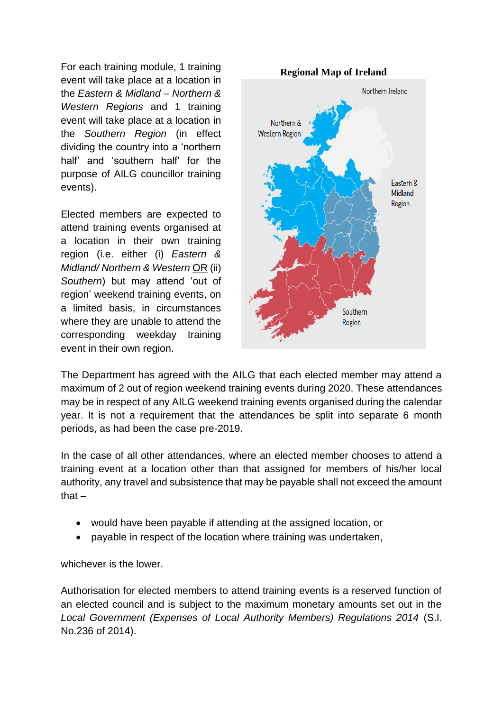For each training module, 1 training event will take place at a location in the *Eastern & Midland – Northern & Western Regions* and 1 training event will take place at a location in the *Southern Region* (in effect dividing the country into a 'northern half' and 'southern half' for the purpose of AILG councillor training events).

Elected members are expected to attend training events organised at a location in their own training region (i.e. either (i) *Eastern & Midland/ Northern & Western* OR (ii) *Southern*) but may attend 'out of region' weekend training events, on a limited basis, in circumstances where they are unable to attend the corresponding weekday training event in their own region.



The Department has agreed with the AILG that each elected member may attend a maximum of 2 out of region weekend training events during 2020. These attendances may be in respect of any AILG weekend training events organised during the calendar year. It is not a requirement that the attendances be split into separate 6 month periods, as had been the case pre-2019.

In the case of all other attendances, where an elected member chooses to attend a training event at a location other than that assigned for members of his/her local authority, any travel and subsistence that may be payable shall not exceed the amount that –

- would have been payable if attending at the assigned location, or
- payable in respect of the location where training was undertaken,

whichever is the lower.

Authorisation for elected members to attend training events is a reserved function of an elected council and is subject to the maximum monetary amounts set out in the *Local Government (Expenses of Local Authority Members) Regulations 2014* (S.I. No.236 of 2014).